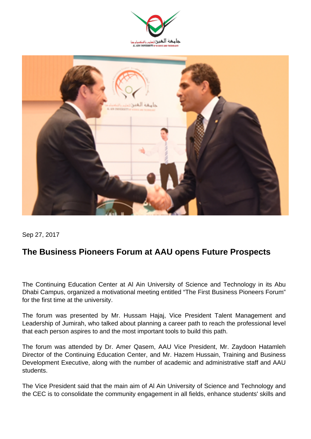



Sep 27, 2017

## **The Business Pioneers Forum at AAU opens Future Prospects**

The Continuing Education Center at Al Ain University of Science and Technology in its Abu Dhabi Campus, organized a motivational meeting entitled "The First Business Pioneers Forum" for the first time at the university.

The forum was presented by Mr. Hussam Hajaj, Vice President Talent Management and Leadership of Jumirah, who talked about planning a career path to reach the professional level that each person aspires to and the most important tools to build this path.

The forum was attended by Dr. Amer Qasem, AAU Vice President, Mr. Zaydoon Hatamleh Director of the Continuing Education Center, and Mr. Hazem Hussain, Training and Business Development Executive, along with the number of academic and administrative staff and AAU students.

The Vice President said that the main aim of Al Ain University of Science and Technology and the CEC is to consolidate the community engagement in all fields, enhance students' skills and